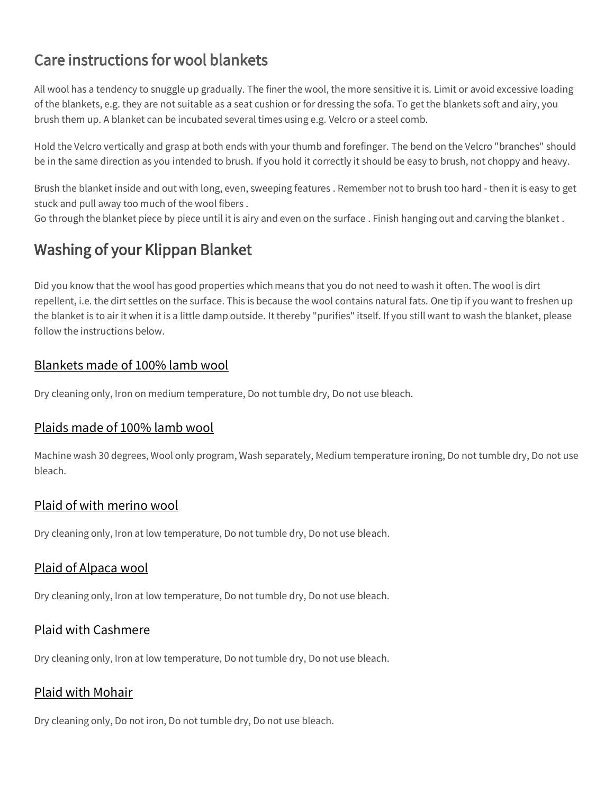# Care instructions for wool blankets

All wool has a tendency to snuggle up gradually. The finer the wool, the more sensitive it is. Limit or avoid excessive loading of the blankets, e.g. they are not suitable as a seat cushion or for dressing the sofa. To get the blankets soft and airy, you brush them up. A blanket can be incubated several times using e.g. Velcro or a steel comb.

Hold the Velcro vertically and grasp at both ends with your thumb and forefinger. The bend on the Velcro "branches" should be in the same direction as you intended to brush. If you hold it correctly it should be easy to brush, not choppy and heavy.

Brush the blanket inside and out with long, even, sweeping features [.](http://klippanyllefabrik.se/wp-content/uploads/Tove-Adman-2018-19-web.pdf) Remember not to brush too hard - then it is easy to get stuck and pull away too much of the wool fibers [.](http://klippanyllefabrik.se/wp-content/uploads/Bengt-Lotta-2018-19-web.pdf)

Go through the blanket piece by piece until it is airy and even on the surface[.](http://klippanyllefabrik.se/wp-content/uploads/Klippan-Yllefabrik-KIDS-2018-19-web.pdf) Finish hanging out and carving the blanket.

# Washing of your Klippan Blanket

Did you know that the wool has good properties which means that you do not need to wash it often. The wool is dirt repellent, i.e. the dirt settles on the surface. This is because the wool contains natural fats. One tip if you want to freshen up the blanket is to air it when it is a little damp outside. It thereby "purifies" itself. If you still want to wash the blanket, please follow the instructions below.

# Blankets made of 100% lamb wool

Dry cleaning only, Iron on medium temperature, Do not tumble dry, Do not use bleach.

## Plaids made of 100% lamb wool

Machine wash 30 degrees, Wool only program, Wash separately, Medium temperature ironing, Do not tumble dry, Do not use bleach.

## Plaid of with merino wool

Dry cleaning only, Iron at low temperature, Do not tumble dry, Do not use bleach.

### Plaid of Alpaca wool

Dry cleaning only, Iron at low temperature, Do not tumble dry, Do not use bleach.

# Plaid with Cashmere

Dry cleaning only, Iron at low temperature, Do not tumble dry, Do not use bleach.

# Plaid with Mohair

Dry cleaning only, Do not iron, Do not tumble dry, Do not use bleach.